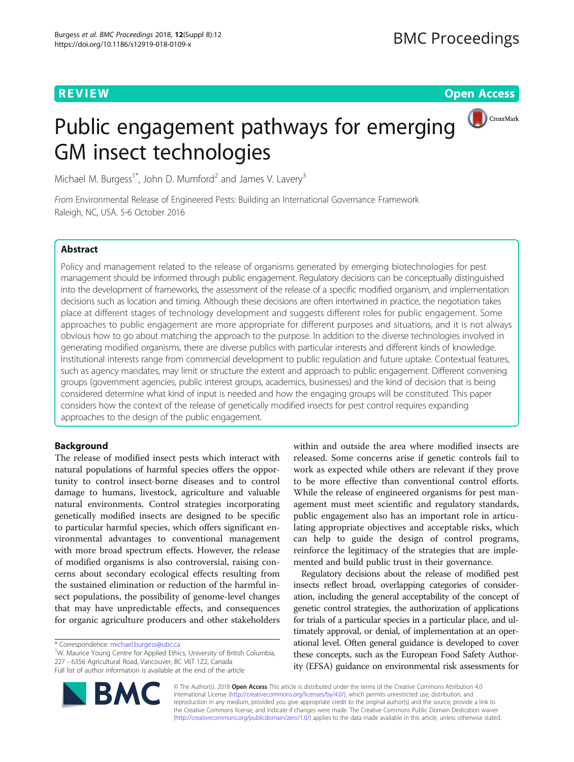**REVIEW CONTROL** CONTROL CONTROL CONTROL CONTROL CONTROL CONTROL CONTROL CONTROL CONTROL CONTROL CONTROL CONTROL

CrossMark

# Public engagement pathways for emerging GM insect technologies

Michael M. Burgess<sup>1\*</sup>, John D. Mumford<sup>2</sup> and James V. Lavery<sup>3</sup>

From Environmental Release of Engineered Pests: Building an International Governance Framework Raleigh, NC, USA. 5-6 October 2016

## **Abstract**

Policy and management related to the release of organisms generated by emerging biotechnologies for pest management should be informed through public engagement. Regulatory decisions can be conceptually distinguished into the development of frameworks, the assessment of the release of a specific modified organism, and implementation decisions such as location and timing. Although these decisions are often intertwined in practice, the negotiation takes place at different stages of technology development and suggests different roles for public engagement. Some approaches to public engagement are more appropriate for different purposes and situations, and it is not always obvious how to go about matching the approach to the purpose. In addition to the diverse technologies involved in generating modified organisms, there are diverse publics with particular interests and different kinds of knowledge. Institutional interests range from commercial development to public regulation and future uptake. Contextual features, such as agency mandates, may limit or structure the extent and approach to public engagement. Different convening groups (government agencies, public interest groups, academics, businesses) and the kind of decision that is being considered determine what kind of input is needed and how the engaging groups will be constituted. This paper considers how the context of the release of genetically modified insects for pest control requires expanding approaches to the design of the public engagement.

## Background

The release of modified insect pests which interact with natural populations of harmful species offers the opportunity to control insect-borne diseases and to control damage to humans, livestock, agriculture and valuable natural environments. Control strategies incorporating genetically modified insects are designed to be specific to particular harmful species, which offers significant environmental advantages to conventional management with more broad spectrum effects. However, the release of modified organisms is also controversial, raising concerns about secondary ecological effects resulting from the sustained elimination or reduction of the harmful insect populations, the possibility of genome-level changes that may have unpredictable effects, and consequences for organic agriculture producers and other stakeholders

<sup>1</sup>W. Maurice Young Centre for Applied Ethics, University of British Columbia, 227 - 6356 Agricultural Road, Vancouver, BC V6T 1Z2, Canada Full list of author information is available at the end of the article

within and outside the area where modified insects are released. Some concerns arise if genetic controls fail to work as expected while others are relevant if they prove to be more effective than conventional control efforts. While the release of engineered organisms for pest management must meet scientific and regulatory standards, public engagement also has an important role in articulating appropriate objectives and acceptable risks, which can help to guide the design of control programs, reinforce the legitimacy of the strategies that are implemented and build public trust in their governance.

Regulatory decisions about the release of modified pest insects reflect broad, overlapping categories of consideration, including the general acceptability of the concept of genetic control strategies, the authorization of applications for trials of a particular species in a particular place, and ultimately approval, or denial, of implementation at an operational level. Often general guidance is developed to cover these concepts, such as the European Food Safety Authority (EFSA) guidance on environmental risk assessments for



© The Author(s). 2018 Open Access This article is distributed under the terms of the Creative Commons Attribution 4.0 International License [\(http://creativecommons.org/licenses/by/4.0/](http://creativecommons.org/licenses/by/4.0/)), which permits unrestricted use, distribution, and reproduction in any medium, provided you give appropriate credit to the original author(s) and the source, provide a link to the Creative Commons license, and indicate if changes were made. The Creative Commons Public Domain Dedication waiver [\(http://creativecommons.org/publicdomain/zero/1.0/](http://creativecommons.org/publicdomain/zero/1.0/)) applies to the data made available in this article, unless otherwise stated.

<sup>\*</sup> Correspondence: [michael.burgess@ubc.ca](mailto:michael.burgess@ubc.ca) <sup>1</sup>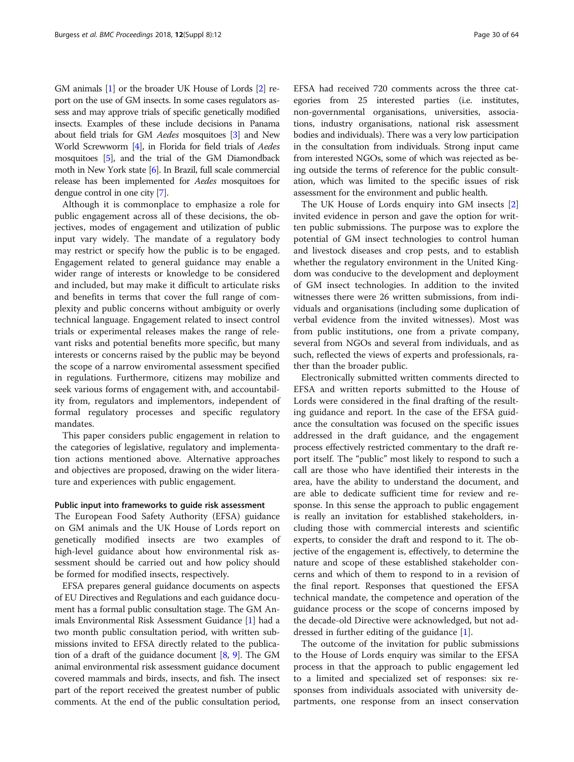GM animals [\[1\]](#page-6-0) or the broader UK House of Lords [\[2](#page-6-0)] report on the use of GM insects. In some cases regulators assess and may approve trials of specific genetically modified insects. Examples of these include decisions in Panama about field trials for GM Aedes mosquitoes [[3](#page-6-0)] and New World Screwworm [\[4\]](#page-6-0), in Florida for field trials of Aedes mosquitoes [\[5\]](#page-7-0), and the trial of the GM Diamondback moth in New York state [\[6](#page-7-0)]. In Brazil, full scale commercial release has been implemented for Aedes mosquitoes for dengue control in one city [\[7\]](#page-7-0).

Although it is commonplace to emphasize a role for public engagement across all of these decisions, the objectives, modes of engagement and utilization of public input vary widely. The mandate of a regulatory body may restrict or specify how the public is to be engaged. Engagement related to general guidance may enable a wider range of interests or knowledge to be considered and included, but may make it difficult to articulate risks and benefits in terms that cover the full range of complexity and public concerns without ambiguity or overly technical language. Engagement related to insect control trials or experimental releases makes the range of relevant risks and potential benefits more specific, but many interests or concerns raised by the public may be beyond the scope of a narrow enviromental assessment specified in regulations. Furthermore, citizens may mobilize and seek various forms of engagement with, and accountability from, regulators and implementors, independent of formal regulatory processes and specific regulatory mandates.

This paper considers public engagement in relation to the categories of legislative, regulatory and implementation actions mentioned above. Alternative approaches and objectives are proposed, drawing on the wider literature and experiences with public engagement.

#### Public input into frameworks to guide risk assessment

The European Food Safety Authority (EFSA) guidance on GM animals and the UK House of Lords report on genetically modified insects are two examples of high-level guidance about how environmental risk assessment should be carried out and how policy should be formed for modified insects, respectively.

EFSA prepares general guidance documents on aspects of EU Directives and Regulations and each guidance document has a formal public consultation stage. The GM Animals Environmental Risk Assessment Guidance [\[1](#page-6-0)] had a two month public consultation period, with written submissions invited to EFSA directly related to the publication of a draft of the guidance document [\[8,](#page-7-0) [9](#page-7-0)]. The GM animal environmental risk assessment guidance document covered mammals and birds, insects, and fish. The insect part of the report received the greatest number of public comments. At the end of the public consultation period,

EFSA had received 720 comments across the three categories from 25 interested parties (i.e. institutes, non-governmental organisations, universities, associations, industry organisations, national risk assessment bodies and individuals). There was a very low participation in the consultation from individuals. Strong input came from interested NGOs, some of which was rejected as being outside the terms of reference for the public consultation, which was limited to the specific issues of risk assessment for the environment and public health.

The UK House of Lords enquiry into GM insects [\[2](#page-6-0)] invited evidence in person and gave the option for written public submissions. The purpose was to explore the potential of GM insect technologies to control human and livestock diseases and crop pests, and to establish whether the regulatory environment in the United Kingdom was conducive to the development and deployment of GM insect technologies. In addition to the invited witnesses there were 26 written submissions, from individuals and organisations (including some duplication of verbal evidence from the invited witnesses). Most was from public institutions, one from a private company, several from NGOs and several from individuals, and as such, reflected the views of experts and professionals, rather than the broader public.

Electronically submitted written comments directed to EFSA and written reports submitted to the House of Lords were considered in the final drafting of the resulting guidance and report. In the case of the EFSA guidance the consultation was focused on the specific issues addressed in the draft guidance, and the engagement process effectively restricted commentary to the draft report itself. The "public" most likely to respond to such a call are those who have identified their interests in the area, have the ability to understand the document, and are able to dedicate sufficient time for review and response. In this sense the approach to public engagement is really an invitation for established stakeholders, including those with commercial interests and scientific experts, to consider the draft and respond to it. The objective of the engagement is, effectively, to determine the nature and scope of these established stakeholder concerns and which of them to respond to in a revision of the final report. Responses that questioned the EFSA technical mandate, the competence and operation of the guidance process or the scope of concerns imposed by the decade-old Directive were acknowledged, but not addressed in further editing of the guidance [[1\]](#page-6-0).

The outcome of the invitation for public submissions to the House of Lords enquiry was similar to the EFSA process in that the approach to public engagement led to a limited and specialized set of responses: six responses from individuals associated with university departments, one response from an insect conservation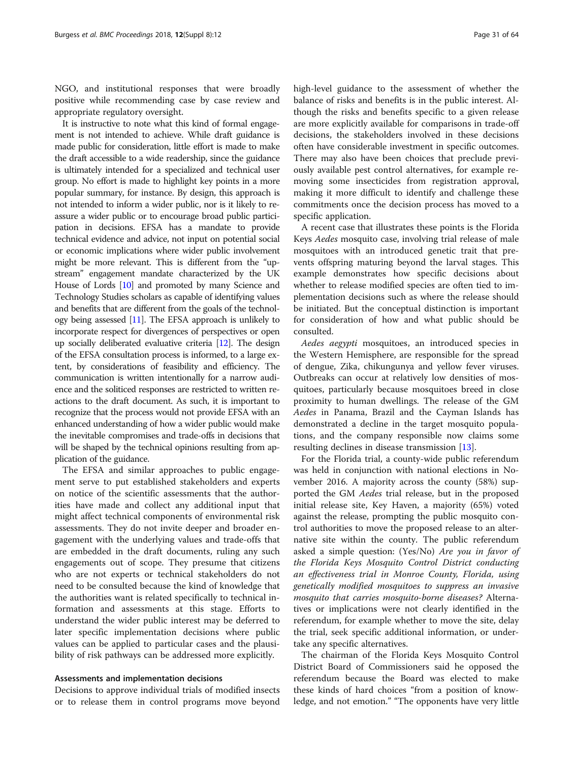NGO, and institutional responses that were broadly positive while recommending case by case review and appropriate regulatory oversight.

It is instructive to note what this kind of formal engagement is not intended to achieve. While draft guidance is made public for consideration, little effort is made to make the draft accessible to a wide readership, since the guidance is ultimately intended for a specialized and technical user group. No effort is made to highlight key points in a more popular summary, for instance. By design, this approach is not intended to inform a wider public, nor is it likely to reassure a wider public or to encourage broad public participation in decisions. EFSA has a mandate to provide technical evidence and advice, not input on potential social or economic implications where wider public involvement might be more relevant. This is different from the "upstream" engagement mandate characterized by the UK House of Lords [[10](#page-7-0)] and promoted by many Science and Technology Studies scholars as capable of identifying values and benefits that are different from the goals of the technology being assessed [\[11](#page-7-0)]. The EFSA approach is unlikely to incorporate respect for divergences of perspectives or open up socially deliberated evaluative criteria [\[12\]](#page-7-0). The design of the EFSA consultation process is informed, to a large extent, by considerations of feasibility and efficiency. The communication is written intentionally for a narrow audience and the soliticed responses are restricted to written reactions to the draft document. As such, it is important to recognize that the process would not provide EFSA with an enhanced understanding of how a wider public would make the inevitable compromises and trade-offs in decisions that will be shaped by the technical opinions resulting from application of the guidance.

The EFSA and similar approaches to public engagement serve to put established stakeholders and experts on notice of the scientific assessments that the authorities have made and collect any additional input that might affect technical components of environmental risk assessments. They do not invite deeper and broader engagement with the underlying values and trade-offs that are embedded in the draft documents, ruling any such engagements out of scope. They presume that citizens who are not experts or technical stakeholders do not need to be consulted because the kind of knowledge that the authorities want is related specifically to technical information and assessments at this stage. Efforts to understand the wider public interest may be deferred to later specific implementation decisions where public values can be applied to particular cases and the plausibility of risk pathways can be addressed more explicitly.

#### Assessments and implementation decisions

Decisions to approve individual trials of modified insects or to release them in control programs move beyond high-level guidance to the assessment of whether the balance of risks and benefits is in the public interest. Although the risks and benefits specific to a given release are more explicitly available for comparisons in trade-off decisions, the stakeholders involved in these decisions often have considerable investment in specific outcomes. There may also have been choices that preclude previously available pest control alternatives, for example removing some insecticides from registration approval, making it more difficult to identify and challenge these commitments once the decision process has moved to a specific application.

A recent case that illustrates these points is the Florida Keys Aedes mosquito case, involving trial release of male mosquitoes with an introduced genetic trait that prevents offspring maturing beyond the larval stages. This example demonstrates how specific decisions about whether to release modified species are often tied to implementation decisions such as where the release should be initiated. But the conceptual distinction is important for consideration of how and what public should be consulted.

Aedes aegypti mosquitoes, an introduced species in the Western Hemisphere, are responsible for the spread of dengue, Zika, chikungunya and yellow fever viruses. Outbreaks can occur at relatively low densities of mosquitoes, particularly because mosquitoes breed in close proximity to human dwellings. The release of the GM Aedes in Panama, Brazil and the Cayman Islands has demonstrated a decline in the target mosquito populations, and the company responsible now claims some resulting declines in disease transmission [\[13](#page-7-0)].

For the Florida trial, a county-wide public referendum was held in conjunction with national elections in November 2016. A majority across the county (58%) supported the GM Aedes trial release, but in the proposed initial release site, Key Haven, a majority (65%) voted against the release, prompting the public mosquito control authorities to move the proposed release to an alternative site within the county. The public referendum asked a simple question: (Yes/No) Are you in favor of the Florida Keys Mosquito Control District conducting an effectiveness trial in Monroe County, Florida, using genetically modified mosquitoes to suppress an invasive mosquito that carries mosquito-borne diseases? Alternatives or implications were not clearly identified in the referendum, for example whether to move the site, delay the trial, seek specific additional information, or undertake any specific alternatives.

The chairman of the Florida Keys Mosquito Control District Board of Commissioners said he opposed the referendum because the Board was elected to make these kinds of hard choices "from a position of knowledge, and not emotion." "The opponents have very little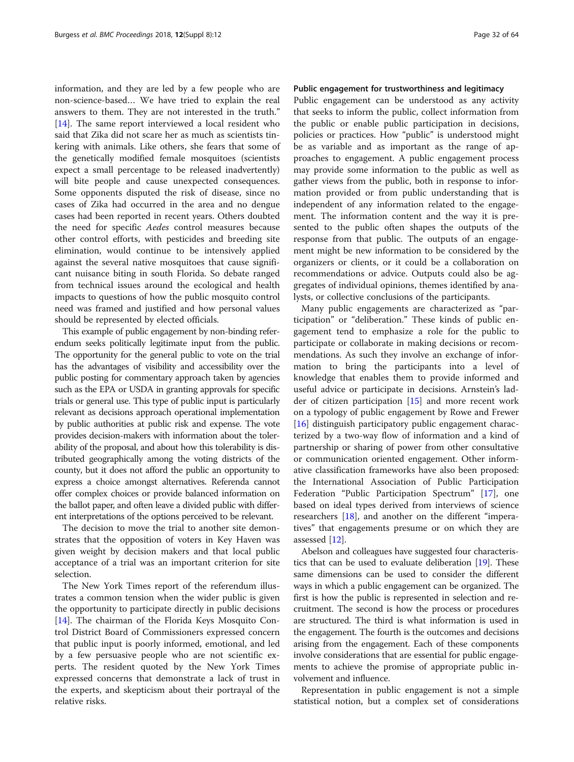information, and they are led by a few people who are non-science-based… We have tried to explain the real answers to them. They are not interested in the truth." [[14\]](#page-7-0). The same report interviewed a local resident who said that Zika did not scare her as much as scientists tinkering with animals. Like others, she fears that some of the genetically modified female mosquitoes (scientists expect a small percentage to be released inadvertently) will bite people and cause unexpected consequences. Some opponents disputed the risk of disease, since no cases of Zika had occurred in the area and no dengue cases had been reported in recent years. Others doubted the need for specific Aedes control measures because other control efforts, with pesticides and breeding site elimination, would continue to be intensively applied against the several native mosquitoes that cause significant nuisance biting in south Florida. So debate ranged from technical issues around the ecological and health impacts to questions of how the public mosquito control need was framed and justified and how personal values should be represented by elected officials.

This example of public engagement by non-binding referendum seeks politically legitimate input from the public. The opportunity for the general public to vote on the trial has the advantages of visibility and accessibility over the public posting for commentary approach taken by agencies such as the EPA or USDA in granting approvals for specific trials or general use. This type of public input is particularly relevant as decisions approach operational implementation by public authorities at public risk and expense. The vote provides decision-makers with information about the tolerability of the proposal, and about how this tolerability is distributed geographically among the voting districts of the county, but it does not afford the public an opportunity to express a choice amongst alternatives. Referenda cannot offer complex choices or provide balanced information on the ballot paper, and often leave a divided public with different interpretations of the options perceived to be relevant.

The decision to move the trial to another site demonstrates that the opposition of voters in Key Haven was given weight by decision makers and that local public acceptance of a trial was an important criterion for site selection.

The New York Times report of the referendum illustrates a common tension when the wider public is given the opportunity to participate directly in public decisions [[14\]](#page-7-0). The chairman of the Florida Keys Mosquito Control District Board of Commissioners expressed concern that public input is poorly informed, emotional, and led by a few persuasive people who are not scientific experts. The resident quoted by the New York Times expressed concerns that demonstrate a lack of trust in the experts, and skepticism about their portrayal of the relative risks.

## Public engagement for trustworthiness and legitimacy

Public engagement can be understood as any activity that seeks to inform the public, collect information from the public or enable public participation in decisions, policies or practices. How "public" is understood might be as variable and as important as the range of approaches to engagement. A public engagement process may provide some information to the public as well as gather views from the public, both in response to information provided or from public understanding that is independent of any information related to the engagement. The information content and the way it is presented to the public often shapes the outputs of the response from that public. The outputs of an engagement might be new information to be considered by the organizers or clients, or it could be a collaboration on recommendations or advice. Outputs could also be aggregates of individual opinions, themes identified by analysts, or collective conclusions of the participants.

Many public engagements are characterized as "participation" or "deliberation." These kinds of public engagement tend to emphasize a role for the public to participate or collaborate in making decisions or recommendations. As such they involve an exchange of information to bring the participants into a level of knowledge that enables them to provide informed and useful advice or participate in decisions. Arnstein's ladder of citizen participation [\[15](#page-7-0)] and more recent work on a typology of public engagement by Rowe and Frewer [[16\]](#page-7-0) distinguish participatory public engagement characterized by a two-way flow of information and a kind of partnership or sharing of power from other consultative or communication oriented engagement. Other informative classification frameworks have also been proposed: the International Association of Public Participation Federation "Public Participation Spectrum" [[17\]](#page-7-0), one based on ideal types derived from interviews of science researchers [[18\]](#page-7-0), and another on the different "imperatives" that engagements presume or on which they are assessed [\[12](#page-7-0)].

Abelson and colleagues have suggested four characteristics that can be used to evaluate deliberation [\[19\]](#page-7-0). These same dimensions can be used to consider the different ways in which a public engagement can be organized. The first is how the public is represented in selection and recruitment. The second is how the process or procedures are structured. The third is what information is used in the engagement. The fourth is the outcomes and decisions arising from the engagement. Each of these components involve considerations that are essential for public engagements to achieve the promise of appropriate public involvement and influence.

Representation in public engagement is not a simple statistical notion, but a complex set of considerations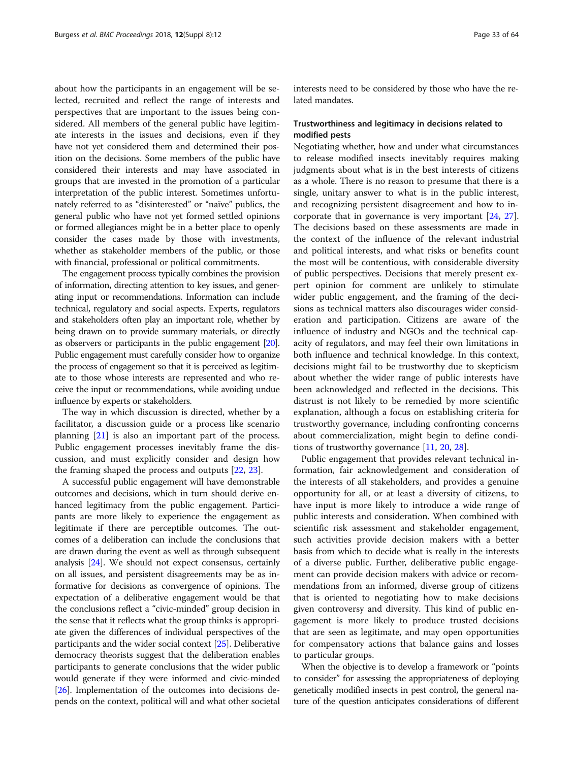about how the participants in an engagement will be selected, recruited and reflect the range of interests and perspectives that are important to the issues being considered. All members of the general public have legitimate interests in the issues and decisions, even if they have not yet considered them and determined their position on the decisions. Some members of the public have considered their interests and may have associated in groups that are invested in the promotion of a particular interpretation of the public interest. Sometimes unfortunately referred to as "disinterested" or "naïve" publics, the general public who have not yet formed settled opinions or formed allegiances might be in a better place to openly consider the cases made by those with investments, whether as stakeholder members of the public, or those with financial, professional or political commitments.

The engagement process typically combines the provision of information, directing attention to key issues, and generating input or recommendations. Information can include technical, regulatory and social aspects. Experts, regulators and stakeholders often play an important role, whether by being drawn on to provide summary materials, or directly as observers or participants in the public engagement [\[20](#page-7-0)]. Public engagement must carefully consider how to organize the process of engagement so that it is perceived as legitimate to those whose interests are represented and who receive the input or recommendations, while avoiding undue influence by experts or stakeholders.

The way in which discussion is directed, whether by a facilitator, a discussion guide or a process like scenario planning [[21\]](#page-7-0) is also an important part of the process. Public engagement processes inevitably frame the discussion, and must explicitly consider and design how the framing shaped the process and outputs [[22,](#page-7-0) [23\]](#page-7-0).

A successful public engagement will have demonstrable outcomes and decisions, which in turn should derive enhanced legitimacy from the public engagement. Participants are more likely to experience the engagement as legitimate if there are perceptible outcomes. The outcomes of a deliberation can include the conclusions that are drawn during the event as well as through subsequent analysis [\[24\]](#page-7-0). We should not expect consensus, certainly on all issues, and persistent disagreements may be as informative for decisions as convergence of opinions. The expectation of a deliberative engagement would be that the conclusions reflect a "civic-minded" group decision in the sense that it reflects what the group thinks is appropriate given the differences of individual perspectives of the participants and the wider social context [\[25\]](#page-7-0). Deliberative democracy theorists suggest that the deliberation enables participants to generate conclusions that the wider public would generate if they were informed and civic-minded [[26](#page-7-0)]. Implementation of the outcomes into decisions depends on the context, political will and what other societal interests need to be considered by those who have the related mandates.

## Trustworthiness and legitimacy in decisions related to modified pests

Negotiating whether, how and under what circumstances to release modified insects inevitably requires making judgments about what is in the best interests of citizens as a whole. There is no reason to presume that there is a single, unitary answer to what is in the public interest, and recognizing persistent disagreement and how to incorporate that in governance is very important [[24,](#page-7-0) [27](#page-7-0)]. The decisions based on these assessments are made in the context of the influence of the relevant industrial and political interests, and what risks or benefits count the most will be contentious, with considerable diversity of public perspectives. Decisions that merely present expert opinion for comment are unlikely to stimulate wider public engagement, and the framing of the decisions as technical matters also discourages wider consideration and participation. Citizens are aware of the influence of industry and NGOs and the technical capacity of regulators, and may feel their own limitations in both influence and technical knowledge. In this context, decisions might fail to be trustworthy due to skepticism about whether the wider range of public interests have been acknowledged and reflected in the decisions. This distrust is not likely to be remedied by more scientific explanation, although a focus on establishing criteria for trustworthy governance, including confronting concerns about commercialization, might begin to define conditions of trustworthy governance [[11,](#page-7-0) [20](#page-7-0), [28](#page-7-0)].

Public engagement that provides relevant technical information, fair acknowledgement and consideration of the interests of all stakeholders, and provides a genuine opportunity for all, or at least a diversity of citizens, to have input is more likely to introduce a wide range of public interests and consideration. When combined with scientific risk assessment and stakeholder engagement, such activities provide decision makers with a better basis from which to decide what is really in the interests of a diverse public. Further, deliberative public engagement can provide decision makers with advice or recommendations from an informed, diverse group of citizens that is oriented to negotiating how to make decisions given controversy and diversity. This kind of public engagement is more likely to produce trusted decisions that are seen as legitimate, and may open opportunities for compensatory actions that balance gains and losses to particular groups.

When the objective is to develop a framework or "points to consider" for assessing the appropriateness of deploying genetically modified insects in pest control, the general nature of the question anticipates considerations of different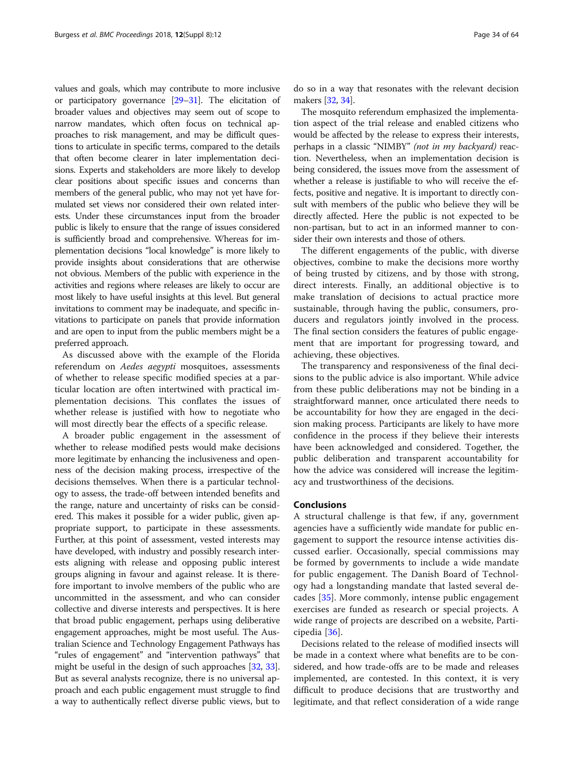values and goals, which may contribute to more inclusive or participatory governance [[29](#page-7-0)–[31](#page-7-0)]. The elicitation of broader values and objectives may seem out of scope to narrow mandates, which often focus on technical approaches to risk management, and may be difficult questions to articulate in specific terms, compared to the details that often become clearer in later implementation decisions. Experts and stakeholders are more likely to develop clear positions about specific issues and concerns than members of the general public, who may not yet have formulated set views nor considered their own related interests. Under these circumstances input from the broader public is likely to ensure that the range of issues considered is sufficiently broad and comprehensive. Whereas for implementation decisions "local knowledge" is more likely to provide insights about considerations that are otherwise not obvious. Members of the public with experience in the activities and regions where releases are likely to occur are most likely to have useful insights at this level. But general invitations to comment may be inadequate, and specific invitations to participate on panels that provide information and are open to input from the public members might be a preferred approach.

As discussed above with the example of the Florida referendum on Aedes aegypti mosquitoes, assessments of whether to release specific modified species at a particular location are often intertwined with practical implementation decisions. This conflates the issues of whether release is justified with how to negotiate who will most directly bear the effects of a specific release.

A broader public engagement in the assessment of whether to release modified pests would make decisions more legitimate by enhancing the inclusiveness and openness of the decision making process, irrespective of the decisions themselves. When there is a particular technology to assess, the trade-off between intended benefits and the range, nature and uncertainty of risks can be considered. This makes it possible for a wider public, given appropriate support, to participate in these assessments. Further, at this point of assessment, vested interests may have developed, with industry and possibly research interests aligning with release and opposing public interest groups aligning in favour and against release. It is therefore important to involve members of the public who are uncommitted in the assessment, and who can consider collective and diverse interests and perspectives. It is here that broad public engagement, perhaps using deliberative engagement approaches, might be most useful. The Australian Science and Technology Engagement Pathways has "rules of engagement" and "intervention pathways" that might be useful in the design of such approaches [\[32,](#page-7-0) [33](#page-7-0)]. But as several analysts recognize, there is no universal approach and each public engagement must struggle to find a way to authentically reflect diverse public views, but to

do so in a way that resonates with the relevant decision makers [\[32,](#page-7-0) [34](#page-7-0)].

The mosquito referendum emphasized the implementation aspect of the trial release and enabled citizens who would be affected by the release to express their interests, perhaps in a classic "NIMBY" (not in my backyard) reaction. Nevertheless, when an implementation decision is being considered, the issues move from the assessment of whether a release is justifiable to who will receive the effects, positive and negative. It is important to directly consult with members of the public who believe they will be directly affected. Here the public is not expected to be non-partisan, but to act in an informed manner to consider their own interests and those of others.

The different engagements of the public, with diverse objectives, combine to make the decisions more worthy of being trusted by citizens, and by those with strong, direct interests. Finally, an additional objective is to make translation of decisions to actual practice more sustainable, through having the public, consumers, producers and regulators jointly involved in the process. The final section considers the features of public engagement that are important for progressing toward, and achieving, these objectives.

The transparency and responsiveness of the final decisions to the public advice is also important. While advice from these public deliberations may not be binding in a straightforward manner, once articulated there needs to be accountability for how they are engaged in the decision making process. Participants are likely to have more confidence in the process if they believe their interests have been acknowledged and considered. Together, the public deliberation and transparent accountability for how the advice was considered will increase the legitimacy and trustworthiness of the decisions.

#### Conclusions

A structural challenge is that few, if any, government agencies have a sufficiently wide mandate for public engagement to support the resource intense activities discussed earlier. Occasionally, special commissions may be formed by governments to include a wide mandate for public engagement. The Danish Board of Technology had a longstanding mandate that lasted several decades [[35\]](#page-7-0). More commonly, intense public engagement exercises are funded as research or special projects. A wide range of projects are described on a website, Participedia [\[36](#page-7-0)].

Decisions related to the release of modified insects will be made in a context where what benefits are to be considered, and how trade-offs are to be made and releases implemented, are contested. In this context, it is very difficult to produce decisions that are trustworthy and legitimate, and that reflect consideration of a wide range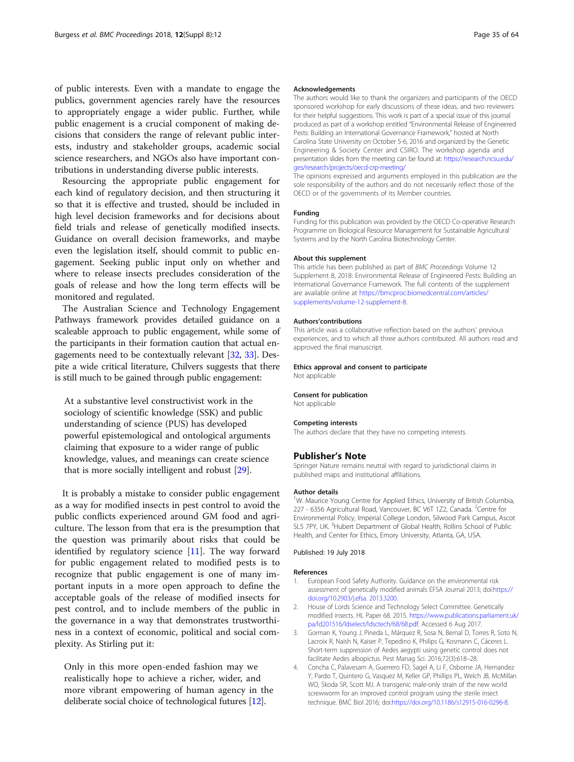<span id="page-6-0"></span>of public interests. Even with a mandate to engage the publics, government agencies rarely have the resources to appropriately engage a wider public. Further, while public enagement is a crucial component of making decisions that considers the range of relevant public interests, industry and stakeholder groups, academic social science researchers, and NGOs also have important contributions in understanding diverse public interests.

Resourcing the appropriate public engagement for each kind of regulatory decision, and then structuring it so that it is effective and trusted, should be included in high level decision frameworks and for decisions about field trials and release of genetically modified insects. Guidance on overall decision frameworks, and maybe even the legislation itself, should commit to public engagement. Seeking public input only on whether and where to release insects precludes consideration of the goals of release and how the long term effects will be monitored and regulated.

The Australian Science and Technology Engagement Pathways framework provides detailed guidance on a scaleable approach to public engagement, while some of the participants in their formation caution that actual engagements need to be contextually relevant [[32](#page-7-0), [33](#page-7-0)]. Despite a wide critical literature, Chilvers suggests that there is still much to be gained through public engagement:

At a substantive level constructivist work in the sociology of scientific knowledge (SSK) and public understanding of science (PUS) has developed powerful epistemological and ontological arguments claiming that exposure to a wider range of public knowledge, values, and meanings can create science that is more socially intelligent and robust [\[29\]](#page-7-0).

It is probably a mistake to consider public engagement as a way for modified insects in pest control to avoid the public conflicts experienced around GM food and agriculture. The lesson from that era is the presumption that the question was primarily about risks that could be identified by regulatory science [[11](#page-7-0)]. The way forward for public engagement related to modified pests is to recognize that public engagement is one of many important inputs in a more open approach to define the acceptable goals of the release of modified insects for pest control, and to include members of the public in the governance in a way that demonstrates trustworthiness in a context of economic, political and social complexity. As Stirling put it:

Only in this more open-ended fashion may we realistically hope to achieve a richer, wider, and more vibrant empowering of human agency in the deliberate social choice of technological futures [\[12\]](#page-7-0).

#### Acknowledgements

The authors would like to thank the organizers and participants of the OECD sponsored workshop for early discussions of these ideas, and two reviewers for their helpful suggestions. This work is part of a special issue of this journal produced as part of a workshop entitled "Environmental Release of Engineered Pests: Building an International Governance Framework," hosted at North Carolina State University on October 5-6, 2016 and organized by the Genetic Engineering & Society Center and CSIRO. The workshop agenda and presentation slides from the meeting can be found at: [https://research.ncsu.edu/](https://research.ncsu.edu/ges/research/projects/oecd-crp-meeting/) [ges/research/projects/oecd-crp-meeting/](https://research.ncsu.edu/ges/research/projects/oecd-crp-meeting/)

The opinions expressed and arguments employed in this publication are the sole responsibility of the authors and do not necessarily reflect those of the OECD or of the governments of its Member countries.

#### Funding

Funding for this publication was provided by the OECD Co-operative Research Programme on Biological Resource Management for Sustainable Agricultural Systems and by the North Carolina Biotechnology Center.

#### About this supplement

This article has been published as part of BMC Proceedings Volume 12 Supplement 8, 2018: Environmental Release of Engineered Pests: Building an International Governance Framework. The full contents of the supplement are available online at [https://bmcproc.biomedcentral.com/articles/](https://bmcproc.biomedcentral.com/articles/supplements/volume-12-supplement-8) [supplements/volume-12-supplement-8.](https://bmcproc.biomedcentral.com/articles/supplements/volume-12-supplement-8)

#### Authors'contributions

This article was a collaborative reflection based on the authors' previous experiences, and to which all three authors contributed. All authors read and approved the final manuscript.

## Ethics approval and consent to participate

Not applicable

#### Consent for publication

Not applicable

#### Competing interests

The authors declare that they have no competing interests.

#### Publisher's Note

Springer Nature remains neutral with regard to jurisdictional claims in published maps and institutional affiliations.

#### Author details

<sup>1</sup>W. Maurice Young Centre for Applied Ethics, University of British Columbia, 227 - 6356 Agricultural Road, Vancouver, BC V6T 1Z2, Canada. <sup>2</sup>Centre for Environmental Policy, Imperial College London, Silwood Park Campus, Ascot SL5 7PY, UK.<sup>3</sup> Hubert Department of Global Health, Rollins School of Public Health, and Center for Ethics, Emory University, Atlanta, GA, USA.

#### Published: 19 July 2018

#### References

- 1. European Food Safety Authority. Guidance on the environmental risk assessment of genetically modified animals EFSA Journal 2013; doi:[https://](https://doi.org/10.2903/j.efsa. 2013.3200) [doi.org/10.2903/j.efsa. 2013.3200.](https://doi.org/10.2903/j.efsa. 2013.3200)
- 2. House of Lords Science and Technology Select Committee. Genetically modified insects. HL Paper 68. 2015. [https://www.publications.parliament.uk/](https://www.publications.parliament.uk/pa/ld201516/ldselect/ldsctech/68/68.pdf) [pa/ld201516/ldselect/ldsctech/68/68.pdf](https://www.publications.parliament.uk/pa/ld201516/ldselect/ldsctech/68/68.pdf). Accessed 6 Aug 2017.
- 3. Gorman K, Young J, Pineda L, Márquez R, Sosa N, Bernal D, Torres R, Soto N, Lacroix R, Naish N, Kaiser P, Tepedino K, Philips G, Kosmann C, Cáceres L. Short-term suppression of Aedes aegypti using genetic control does not facilitate Aedes albopictus. Pest Manag Sci. 2016;72(3):618–28.
- 4. Concha C, Palavesam A, Guerrero FD, Sagel A, Li F, Osborne JA, Hernandez Y, Pardo T, Quintero G, Vasquez M, Keller GP, Phillips PL, Welch JB, McMillan WO, Skoda SR, Scott MJ. A transgenic male-only strain of the new world screwworm for an improved control program using the sterile insect technique. BMC Biol 2016; doi:<https://doi.org/10.1186/s12915-016-0296-8>.